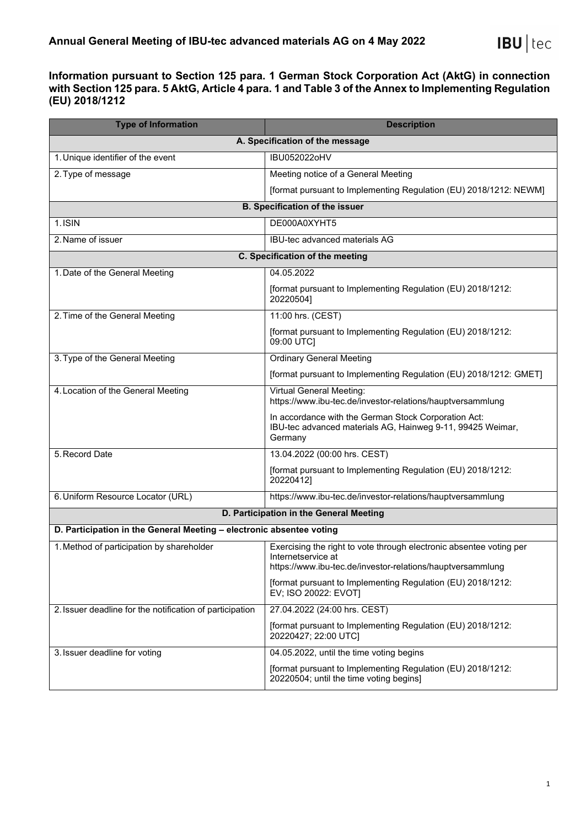## **Information pursuant to Section 125 para. 1 German Stock Corporation Act (AktG) in connection with Section 125 para. 5 AktG, Article 4 para. 1 and Table 3 of the Annex to Implementing Regulation (EU) 2018/1212**

| <b>Type of Information</b>                                           | <b>Description</b>                                                                                                                                      |  |
|----------------------------------------------------------------------|---------------------------------------------------------------------------------------------------------------------------------------------------------|--|
| A. Specification of the message                                      |                                                                                                                                                         |  |
| 1. Unique identifier of the event                                    | IBU052022oHV                                                                                                                                            |  |
| 2. Type of message                                                   | Meeting notice of a General Meeting                                                                                                                     |  |
|                                                                      | [format pursuant to Implementing Regulation (EU) 2018/1212: NEWM]                                                                                       |  |
| <b>B. Specification of the issuer</b>                                |                                                                                                                                                         |  |
| 1. ISIN                                                              | DE000A0XYHT5                                                                                                                                            |  |
| 2. Name of issuer                                                    | IBU-tec advanced materials AG                                                                                                                           |  |
| C. Specification of the meeting                                      |                                                                                                                                                         |  |
| 1. Date of the General Meeting                                       | 04.05.2022                                                                                                                                              |  |
|                                                                      | [format pursuant to Implementing Regulation (EU) 2018/1212:<br>20220504]                                                                                |  |
| 2. Time of the General Meeting                                       | 11:00 hrs. (CEST)                                                                                                                                       |  |
|                                                                      | [format pursuant to Implementing Regulation (EU) 2018/1212:<br>09:00 UTC]                                                                               |  |
| 3. Type of the General Meeting                                       | <b>Ordinary General Meeting</b>                                                                                                                         |  |
|                                                                      | [format pursuant to Implementing Regulation (EU) 2018/1212: GMET]                                                                                       |  |
| 4. Location of the General Meeting                                   | Virtual General Meeting:<br>https://www.ibu-tec.de/investor-relations/hauptversammlung                                                                  |  |
|                                                                      | In accordance with the German Stock Corporation Act:<br>IBU-tec advanced materials AG, Hainweg 9-11, 99425 Weimar,<br>Germany                           |  |
| 5. Record Date                                                       | 13.04.2022 (00:00 hrs. CEST)                                                                                                                            |  |
|                                                                      | [format pursuant to Implementing Regulation (EU) 2018/1212:<br>20220412]                                                                                |  |
| 6. Uniform Resource Locator (URL)                                    | https://www.ibu-tec.de/investor-relations/hauptversammlung                                                                                              |  |
|                                                                      | D. Participation in the General Meeting                                                                                                                 |  |
| D. Participation in the General Meeting - electronic absentee voting |                                                                                                                                                         |  |
| 1. Method of participation by shareholder                            | Exercising the right to vote through electronic absentee voting per<br>Internetservice at<br>https://www.ibu-tec.de/investor-relations/hauptversammlung |  |
|                                                                      | [format pursuant to Implementing Regulation (EU) 2018/1212:<br>EV; ISO 20022: EVOT]                                                                     |  |
| 2. Issuer deadline for the notification of participation             | 27.04.2022 (24:00 hrs. CEST)                                                                                                                            |  |
|                                                                      | [format pursuant to Implementing Regulation (EU) 2018/1212:<br>20220427; 22:00 UTC]                                                                     |  |
| 3. Issuer deadline for voting                                        | 04.05.2022, until the time voting begins                                                                                                                |  |
|                                                                      | [format pursuant to Implementing Regulation (EU) 2018/1212:<br>20220504; until the time voting begins]                                                  |  |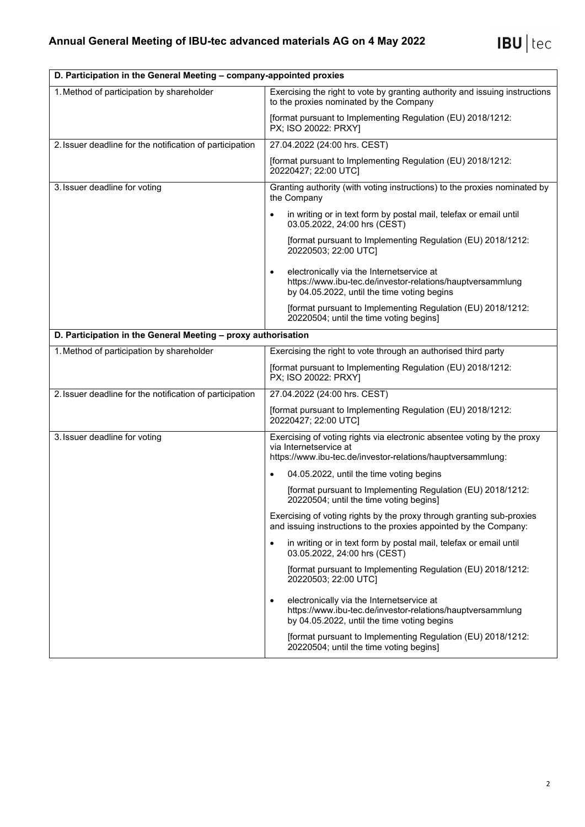| D. Participation in the General Meeting – company-appointed proxies |                                                                                                                                                                     |  |
|---------------------------------------------------------------------|---------------------------------------------------------------------------------------------------------------------------------------------------------------------|--|
| 1. Method of participation by shareholder                           | Exercising the right to vote by granting authority and issuing instructions<br>to the proxies nominated by the Company                                              |  |
|                                                                     | [format pursuant to Implementing Regulation (EU) 2018/1212:<br>PX; ISO 20022: PRXY]                                                                                 |  |
| 2. Issuer deadline for the notification of participation            | 27.04.2022 (24:00 hrs. CEST)                                                                                                                                        |  |
|                                                                     | [format pursuant to Implementing Regulation (EU) 2018/1212:<br>20220427; 22:00 UTC]                                                                                 |  |
| 3. Issuer deadline for voting                                       | Granting authority (with voting instructions) to the proxies nominated by<br>the Company                                                                            |  |
|                                                                     | in writing or in text form by postal mail, telefax or email until<br>$\bullet$<br>03.05.2022, 24:00 hrs (CEST)                                                      |  |
|                                                                     | [format pursuant to Implementing Regulation (EU) 2018/1212:<br>20220503; 22:00 UTC]                                                                                 |  |
|                                                                     | electronically via the Internetservice at<br>$\bullet$<br>https://www.ibu-tec.de/investor-relations/hauptversammlung<br>by 04.05.2022, until the time voting begins |  |
|                                                                     | [format pursuant to Implementing Regulation (EU) 2018/1212:<br>20220504; until the time voting begins]                                                              |  |
| D. Participation in the General Meeting - proxy authorisation       |                                                                                                                                                                     |  |
| 1. Method of participation by shareholder                           | Exercising the right to vote through an authorised third party                                                                                                      |  |
|                                                                     | [format pursuant to Implementing Regulation (EU) 2018/1212:<br>PX; ISO 20022: PRXY]                                                                                 |  |
| 2. Issuer deadline for the notification of participation            | 27.04.2022 (24:00 hrs. CEST)                                                                                                                                        |  |
|                                                                     | [format pursuant to Implementing Regulation (EU) 2018/1212:<br>20220427; 22:00 UTC]                                                                                 |  |
| 3. Issuer deadline for voting                                       | Exercising of voting rights via electronic absentee voting by the proxy<br>via Internetservice at                                                                   |  |
|                                                                     | https://www.ibu-tec.de/investor-relations/hauptversammlung:                                                                                                         |  |
|                                                                     | 04.05.2022, until the time voting begins<br>$\bullet$                                                                                                               |  |
|                                                                     | [format pursuant to Implementing Regulation (EU) 2018/1212:<br>20220504; until the time voting begins]                                                              |  |
|                                                                     | Exercising of voting rights by the proxy through granting sub-proxies<br>and issuing instructions to the proxies appointed by the Company:                          |  |
|                                                                     | in writing or in text form by postal mail, telefax or email until<br>$\bullet$<br>03.05.2022, 24:00 hrs (CEST)                                                      |  |
|                                                                     | [format pursuant to Implementing Regulation (EU) 2018/1212:<br>20220503; 22:00 UTC]                                                                                 |  |
|                                                                     | electronically via the Internetservice at<br>$\bullet$<br>https://www.ibu-tec.de/investor-relations/hauptversammlung<br>by 04.05.2022, until the time voting begins |  |
|                                                                     | [format pursuant to Implementing Regulation (EU) 2018/1212:<br>20220504; until the time voting begins]                                                              |  |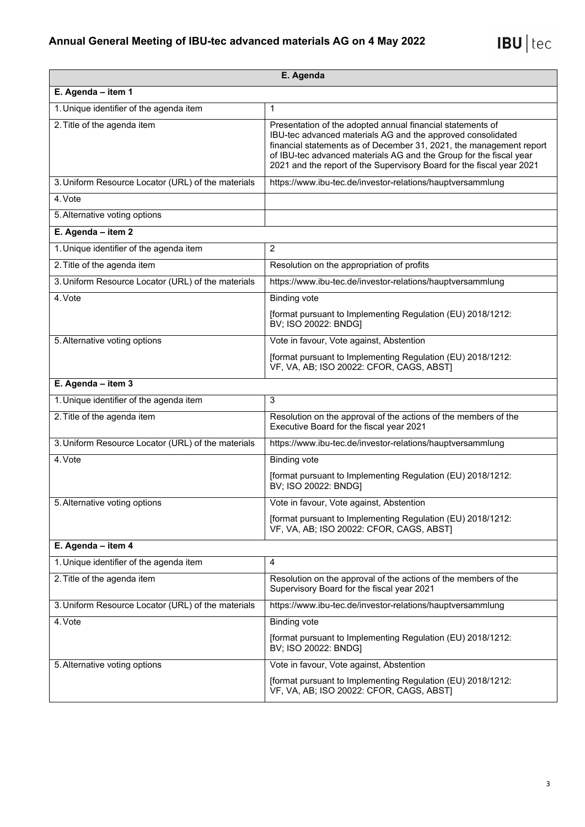| E. Agenda                                          |                                                                                                                                                                                                                                                                                                                                                 |  |
|----------------------------------------------------|-------------------------------------------------------------------------------------------------------------------------------------------------------------------------------------------------------------------------------------------------------------------------------------------------------------------------------------------------|--|
| E. Agenda - item 1                                 |                                                                                                                                                                                                                                                                                                                                                 |  |
| 1. Unique identifier of the agenda item            | 1                                                                                                                                                                                                                                                                                                                                               |  |
| 2. Title of the agenda item                        | Presentation of the adopted annual financial statements of<br>IBU-tec advanced materials AG and the approved consolidated<br>financial statements as of December 31, 2021, the management report<br>of IBU-tec advanced materials AG and the Group for the fiscal year<br>2021 and the report of the Supervisory Board for the fiscal year 2021 |  |
| 3. Uniform Resource Locator (URL) of the materials | https://www.ibu-tec.de/investor-relations/hauptversammlung                                                                                                                                                                                                                                                                                      |  |
| 4. Vote                                            |                                                                                                                                                                                                                                                                                                                                                 |  |
| 5. Alternative voting options                      |                                                                                                                                                                                                                                                                                                                                                 |  |
| E. Agenda $-$ item 2                               |                                                                                                                                                                                                                                                                                                                                                 |  |
| 1. Unique identifier of the agenda item            | $\overline{2}$                                                                                                                                                                                                                                                                                                                                  |  |
| 2. Title of the agenda item                        | Resolution on the appropriation of profits                                                                                                                                                                                                                                                                                                      |  |
| 3. Uniform Resource Locator (URL) of the materials | https://www.ibu-tec.de/investor-relations/hauptversammlung                                                                                                                                                                                                                                                                                      |  |
| 4. Vote                                            | <b>Binding vote</b>                                                                                                                                                                                                                                                                                                                             |  |
|                                                    | [format pursuant to Implementing Regulation (EU) 2018/1212:<br>BV; ISO 20022: BNDG]                                                                                                                                                                                                                                                             |  |
| 5. Alternative voting options                      | Vote in favour, Vote against, Abstention                                                                                                                                                                                                                                                                                                        |  |
|                                                    | [format pursuant to Implementing Regulation (EU) 2018/1212:<br>VF, VA, AB; ISO 20022: CFOR, CAGS, ABST]                                                                                                                                                                                                                                         |  |
| E. Agenda - item 3                                 |                                                                                                                                                                                                                                                                                                                                                 |  |
| 1. Unique identifier of the agenda item            | 3                                                                                                                                                                                                                                                                                                                                               |  |
| 2. Title of the agenda item                        | Resolution on the approval of the actions of the members of the<br>Executive Board for the fiscal year 2021                                                                                                                                                                                                                                     |  |
| 3. Uniform Resource Locator (URL) of the materials | https://www.ibu-tec.de/investor-relations/hauptversammlung                                                                                                                                                                                                                                                                                      |  |
| 4. Vote                                            | <b>Binding vote</b>                                                                                                                                                                                                                                                                                                                             |  |
|                                                    | [format pursuant to Implementing Regulation (EU) 2018/1212:<br>BV; ISO 20022: BNDG]                                                                                                                                                                                                                                                             |  |
| 5. Alternative voting options                      | Vote in favour, Vote against, Abstention                                                                                                                                                                                                                                                                                                        |  |
|                                                    | [format pursuant to Implementing Regulation (EU) 2018/1212:<br>VF, VA, AB; ISO 20022: CFOR, CAGS, ABST]                                                                                                                                                                                                                                         |  |
| E. Agenda - item 4                                 |                                                                                                                                                                                                                                                                                                                                                 |  |
| 1. Unique identifier of the agenda item            | 4                                                                                                                                                                                                                                                                                                                                               |  |
| 2. Title of the agenda item                        | Resolution on the approval of the actions of the members of the<br>Supervisory Board for the fiscal year 2021                                                                                                                                                                                                                                   |  |
| 3. Uniform Resource Locator (URL) of the materials | https://www.ibu-tec.de/investor-relations/hauptversammlung                                                                                                                                                                                                                                                                                      |  |
| 4. Vote                                            | <b>Binding vote</b>                                                                                                                                                                                                                                                                                                                             |  |
|                                                    | [format pursuant to Implementing Regulation (EU) 2018/1212:<br>BV; ISO 20022: BNDG]                                                                                                                                                                                                                                                             |  |
| 5. Alternative voting options                      | Vote in favour, Vote against, Abstention                                                                                                                                                                                                                                                                                                        |  |
|                                                    | [format pursuant to Implementing Regulation (EU) 2018/1212:<br>VF, VA, AB; ISO 20022: CFOR, CAGS, ABST]                                                                                                                                                                                                                                         |  |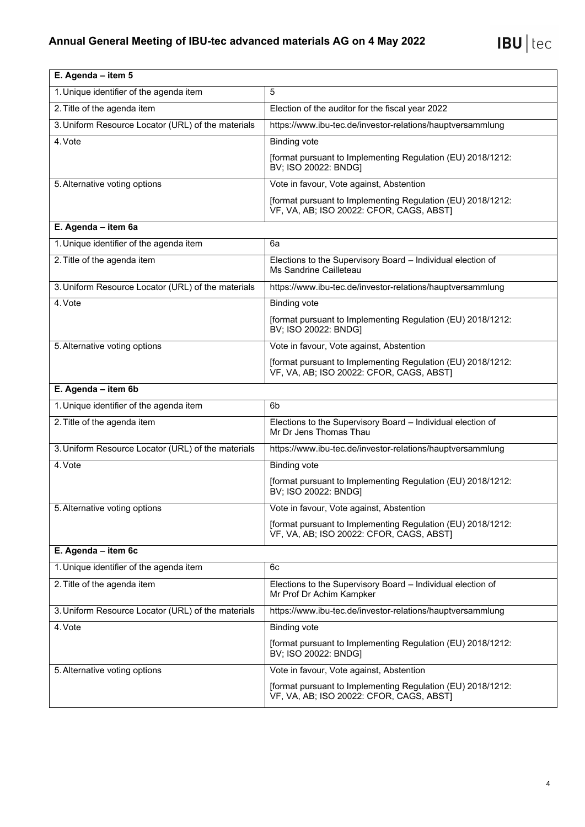| E. Agenda - item 5                                 |                                                                                                         |
|----------------------------------------------------|---------------------------------------------------------------------------------------------------------|
| 1. Unique identifier of the agenda item            | 5                                                                                                       |
| 2. Title of the agenda item                        | Election of the auditor for the fiscal year 2022                                                        |
| 3. Uniform Resource Locator (URL) of the materials | https://www.ibu-tec.de/investor-relations/hauptversammlung                                              |
| 4. Vote                                            | <b>Binding vote</b>                                                                                     |
|                                                    | [format pursuant to Implementing Regulation (EU) 2018/1212:<br>BV; ISO 20022: BNDG]                     |
| 5. Alternative voting options                      | Vote in favour, Vote against, Abstention                                                                |
|                                                    | [format pursuant to Implementing Regulation (EU) 2018/1212:<br>VF, VA, AB; ISO 20022: CFOR, CAGS, ABST) |
| E. Agenda - item 6a                                |                                                                                                         |
| 1. Unique identifier of the agenda item            | 6a                                                                                                      |
| 2. Title of the agenda item                        | Elections to the Supervisory Board - Individual election of<br>Ms Sandrine Cailleteau                   |
| 3. Uniform Resource Locator (URL) of the materials | https://www.ibu-tec.de/investor-relations/hauptversammlung                                              |
| 4. Vote                                            | <b>Binding vote</b>                                                                                     |
|                                                    | [format pursuant to Implementing Regulation (EU) 2018/1212:<br>BV; ISO 20022: BNDG]                     |
| 5. Alternative voting options                      | Vote in favour, Vote against, Abstention                                                                |
|                                                    | [format pursuant to Implementing Regulation (EU) 2018/1212:<br>VF, VA, AB; ISO 20022: CFOR, CAGS, ABST] |
| E. Agenda - item 6b                                |                                                                                                         |
| 1. Unique identifier of the agenda item            | 6 <sub>b</sub>                                                                                          |
| 2. Title of the agenda item                        | Elections to the Supervisory Board - Individual election of<br>Mr Dr Jens Thomas Thau                   |
| 3. Uniform Resource Locator (URL) of the materials | https://www.ibu-tec.de/investor-relations/hauptversammlung                                              |
| 4. Vote                                            | <b>Binding vote</b>                                                                                     |
|                                                    | [format pursuant to Implementing Regulation (EU) 2018/1212:<br>BV; ISO 20022: BNDG]                     |
| 5. Alternative voting options                      | Vote in favour, Vote against, Abstention                                                                |
|                                                    | [format pursuant to Implementing Regulation (EU) 2018/1212:<br>VF, VA, AB; ISO 20022: CFOR, CAGS, ABST] |
| E. Agenda - item 6c                                |                                                                                                         |
| 1. Unique identifier of the agenda item            | 6c                                                                                                      |
| 2. Title of the agenda item                        | Elections to the Supervisory Board - Individual election of<br>Mr Prof Dr Achim Kampker                 |
| 3. Uniform Resource Locator (URL) of the materials | https://www.ibu-tec.de/investor-relations/hauptversammlung                                              |
| 4. Vote                                            | <b>Binding vote</b>                                                                                     |
|                                                    | [format pursuant to Implementing Regulation (EU) 2018/1212:<br>BV; ISO 20022: BNDG]                     |
| 5. Alternative voting options                      | Vote in favour, Vote against, Abstention                                                                |
|                                                    | [format pursuant to Implementing Regulation (EU) 2018/1212:<br>VF, VA, AB; ISO 20022: CFOR, CAGS, ABST] |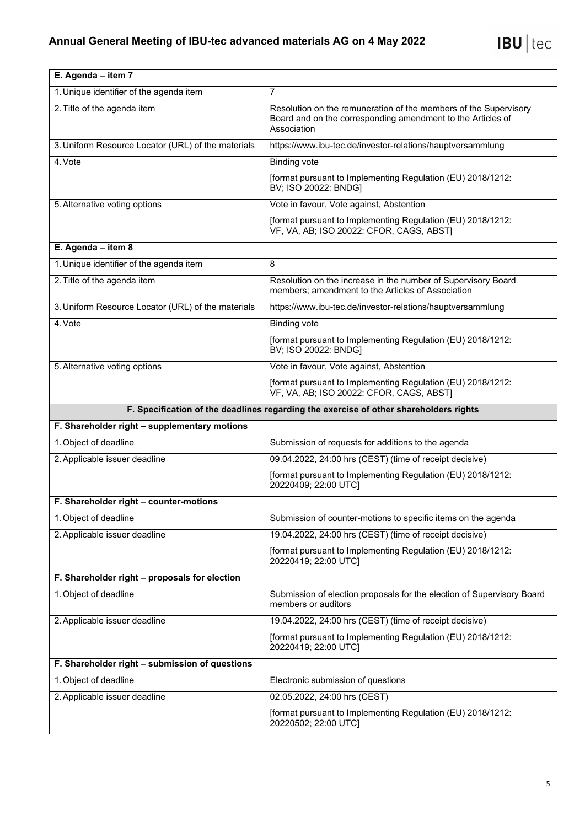| E. Agenda - item 7                                 |                                                                                                                                                |  |  |
|----------------------------------------------------|------------------------------------------------------------------------------------------------------------------------------------------------|--|--|
| 1. Unique identifier of the agenda item            | 7                                                                                                                                              |  |  |
| 2. Title of the agenda item                        | Resolution on the remuneration of the members of the Supervisory<br>Board and on the corresponding amendment to the Articles of<br>Association |  |  |
| 3. Uniform Resource Locator (URL) of the materials | https://www.ibu-tec.de/investor-relations/hauptversammlung                                                                                     |  |  |
| 4. Vote                                            | <b>Binding vote</b>                                                                                                                            |  |  |
|                                                    | [format pursuant to Implementing Regulation (EU) 2018/1212:<br>BV; ISO 20022: BNDG]                                                            |  |  |
| 5. Alternative voting options                      | Vote in favour, Vote against, Abstention                                                                                                       |  |  |
|                                                    | [format pursuant to Implementing Regulation (EU) 2018/1212:<br>VF, VA, AB; ISO 20022: CFOR, CAGS, ABST]                                        |  |  |
| E. Agenda - item 8                                 |                                                                                                                                                |  |  |
| 1. Unique identifier of the agenda item            | 8                                                                                                                                              |  |  |
| 2. Title of the agenda item                        | Resolution on the increase in the number of Supervisory Board<br>members; amendment to the Articles of Association                             |  |  |
| 3. Uniform Resource Locator (URL) of the materials | https://www.ibu-tec.de/investor-relations/hauptversammlung                                                                                     |  |  |
| 4. Vote                                            | <b>Binding vote</b>                                                                                                                            |  |  |
|                                                    | [format pursuant to Implementing Regulation (EU) 2018/1212:<br>BV; ISO 20022: BNDG]                                                            |  |  |
| 5. Alternative voting options                      | Vote in favour, Vote against, Abstention                                                                                                       |  |  |
|                                                    | [format pursuant to Implementing Regulation (EU) 2018/1212:<br>VF, VA, AB; ISO 20022: CFOR, CAGS, ABST]                                        |  |  |
|                                                    | F. Specification of the deadlines regarding the exercise of other shareholders rights                                                          |  |  |
|                                                    |                                                                                                                                                |  |  |
| F. Shareholder right - supplementary motions       |                                                                                                                                                |  |  |
| 1. Object of deadline                              | Submission of requests for additions to the agenda                                                                                             |  |  |
| 2. Applicable issuer deadline                      | 09.04.2022, 24:00 hrs (CEST) (time of receipt decisive)                                                                                        |  |  |
|                                                    | [format pursuant to Implementing Regulation (EU) 2018/1212:<br>20220409; 22:00 UTC]                                                            |  |  |
| F. Shareholder right - counter-motions             |                                                                                                                                                |  |  |
| 1. Object of deadline                              | Submission of counter-motions to specific items on the agenda                                                                                  |  |  |
| 2. Applicable issuer deadline                      | 19.04.2022, 24:00 hrs (CEST) (time of receipt decisive)                                                                                        |  |  |
|                                                    | [format pursuant to Implementing Regulation (EU) 2018/1212:<br>20220419; 22:00 UTC]                                                            |  |  |
| F. Shareholder right - proposals for election      |                                                                                                                                                |  |  |
| 1. Object of deadline                              | Submission of election proposals for the election of Supervisory Board<br>members or auditors                                                  |  |  |
| 2. Applicable issuer deadline                      | 19.04.2022, 24:00 hrs (CEST) (time of receipt decisive)                                                                                        |  |  |
|                                                    | [format pursuant to Implementing Regulation (EU) 2018/1212:<br>20220419; 22:00 UTC]                                                            |  |  |
| F. Shareholder right - submission of questions     |                                                                                                                                                |  |  |
| 1. Object of deadline                              | Electronic submission of questions                                                                                                             |  |  |
| 2. Applicable issuer deadline                      | 02.05.2022, 24:00 hrs (CEST)                                                                                                                   |  |  |